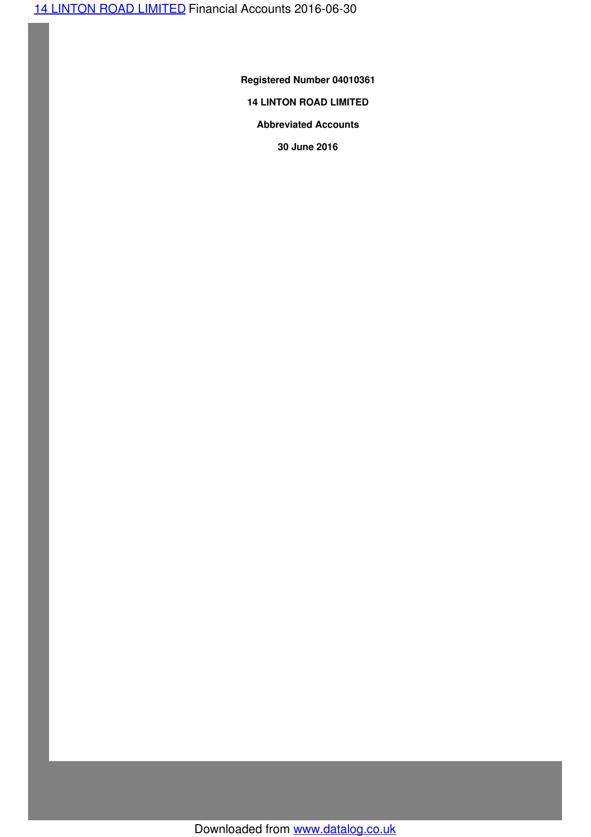**Registered Number 04010361**

# **14 LINTON ROAD LIMITED**

# **Abbreviated Accounts**

**30 June 2016**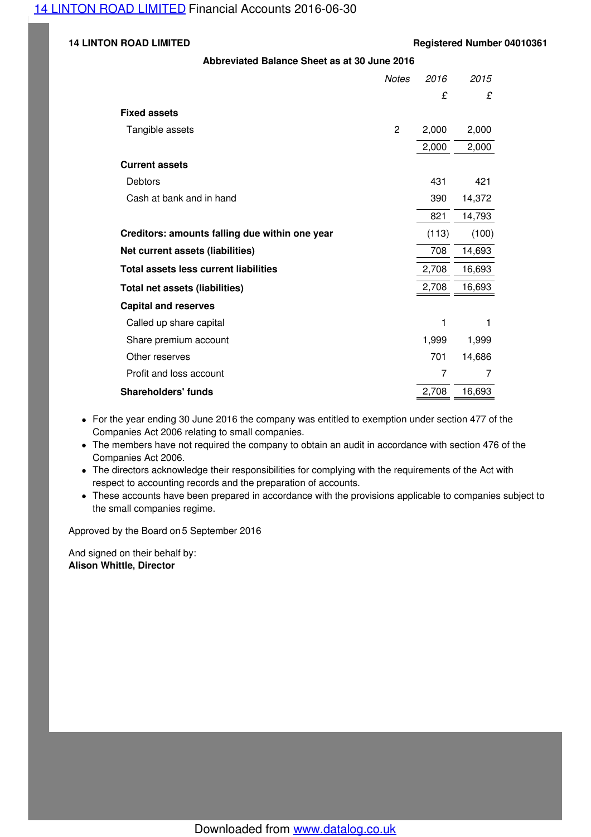#### **14 LINTON ROAD LIMITED Registered Number 04010361**

#### **Abbreviated Balance Sheet as at 30 June 2016**

|                                                | <b>Notes</b> | 2016           | 2015   |
|------------------------------------------------|--------------|----------------|--------|
|                                                |              | £              | £      |
| <b>Fixed assets</b>                            |              |                |        |
| Tangible assets                                | $\mathbf{2}$ | 2,000          | 2,000  |
|                                                |              | 2,000          | 2,000  |
| <b>Current assets</b>                          |              |                |        |
| Debtors                                        |              | 431            | 421    |
| Cash at bank and in hand                       |              | 390            | 14,372 |
|                                                |              | 821            | 14,793 |
| Creditors: amounts falling due within one year |              | (113)          | (100)  |
| Net current assets (liabilities)               |              | 708            | 14,693 |
| <b>Total assets less current liabilities</b>   |              | 2,708          | 16,693 |
| <b>Total net assets (liabilities)</b>          |              | 2,708          | 16,693 |
| <b>Capital and reserves</b>                    |              |                |        |
| Called up share capital                        |              | 1              | 1      |
| Share premium account                          |              | 1,999          | 1,999  |
| Other reserves                                 |              | 701            | 14,686 |
| Profit and loss account                        |              | $\overline{7}$ | 7      |
| <b>Shareholders' funds</b>                     |              | 2,708          | 16,693 |

- For the year ending 30 June 2016 the company was entitled to exemption under section 477 of the Companies Act 2006 relating to small companies.
- The members have not required the company to obtain an audit in accordance with section 476 of the Companies Act 2006.
- The directors acknowledge their responsibilities for complying with the requirements of the Act with respect to accounting records and the preparation of accounts.
- These accounts have been prepared in accordance with the provisions applicable to companies subject to the small companies regime.

Approved by the Board on 5 September 2016

And signed on their behalf by: **Alison Whittle, Director**